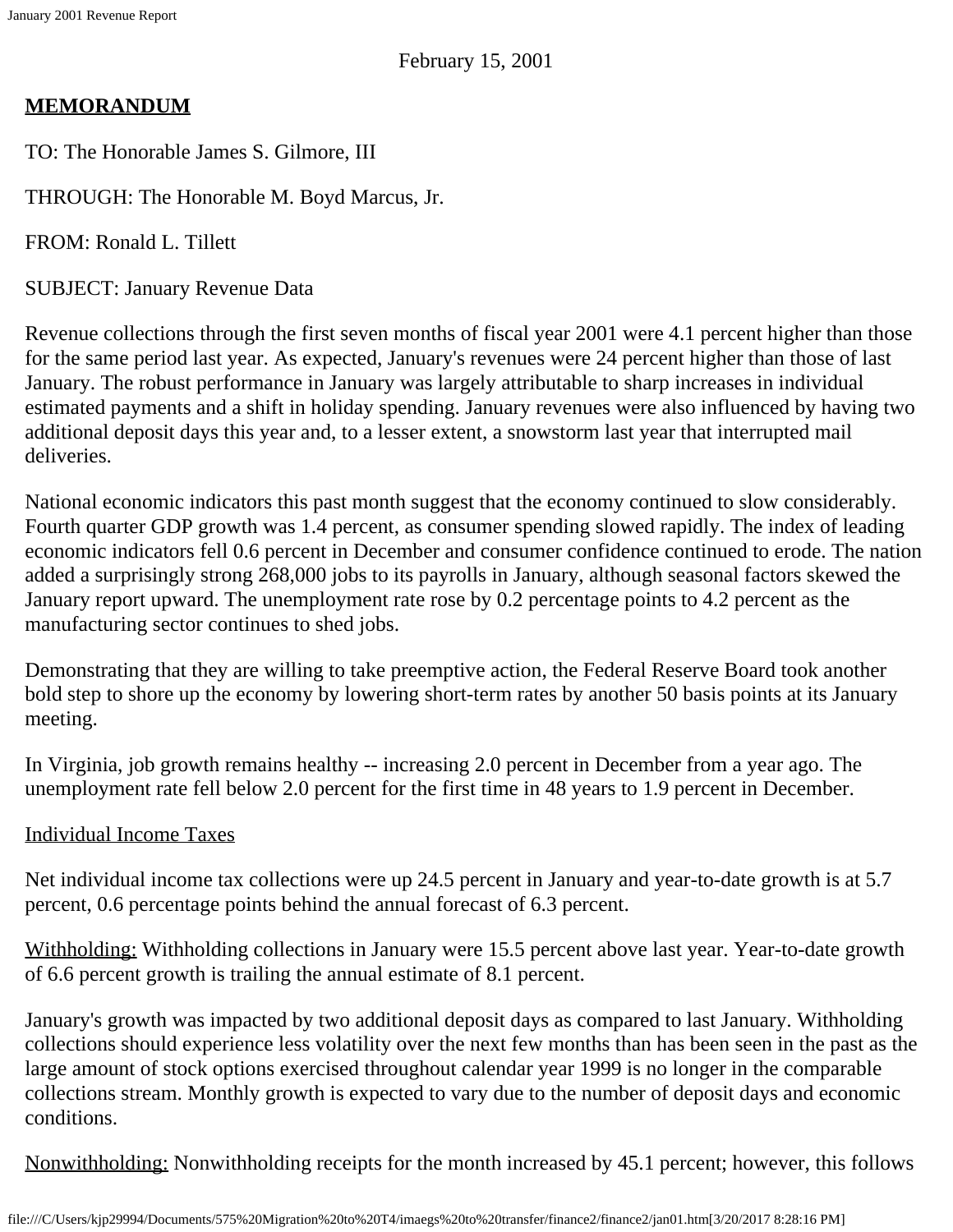# **MEMORANDUM**

TO: The Honorable James S. Gilmore, III

THROUGH: The Honorable M. Boyd Marcus, Jr.

FROM: Ronald L. Tillett

SUBJECT: January Revenue Data

Revenue collections through the first seven months of fiscal year 2001 were 4.1 percent higher than those for the same period last year. As expected, January's revenues were 24 percent higher than those of last January. The robust performance in January was largely attributable to sharp increases in individual estimated payments and a shift in holiday spending. January revenues were also influenced by having two additional deposit days this year and, to a lesser extent, a snowstorm last year that interrupted mail deliveries.

National economic indicators this past month suggest that the economy continued to slow considerably. Fourth quarter GDP growth was 1.4 percent, as consumer spending slowed rapidly. The index of leading economic indicators fell 0.6 percent in December and consumer confidence continued to erode. The nation added a surprisingly strong 268,000 jobs to its payrolls in January, although seasonal factors skewed the January report upward. The unemployment rate rose by 0.2 percentage points to 4.2 percent as the manufacturing sector continues to shed jobs.

Demonstrating that they are willing to take preemptive action, the Federal Reserve Board took another bold step to shore up the economy by lowering short-term rates by another 50 basis points at its January meeting.

In Virginia, job growth remains healthy -- increasing 2.0 percent in December from a year ago. The unemployment rate fell below 2.0 percent for the first time in 48 years to 1.9 percent in December.

## Individual Income Taxes

Net individual income tax collections were up 24.5 percent in January and year-to-date growth is at 5.7 percent, 0.6 percentage points behind the annual forecast of 6.3 percent.

Withholding: Withholding collections in January were 15.5 percent above last year. Year-to-date growth of 6.6 percent growth is trailing the annual estimate of 8.1 percent.

January's growth was impacted by two additional deposit days as compared to last January. Withholding collections should experience less volatility over the next few months than has been seen in the past as the large amount of stock options exercised throughout calendar year 1999 is no longer in the comparable collections stream. Monthly growth is expected to vary due to the number of deposit days and economic conditions.

Nonwithholding: Nonwithholding receipts for the month increased by 45.1 percent; however, this follows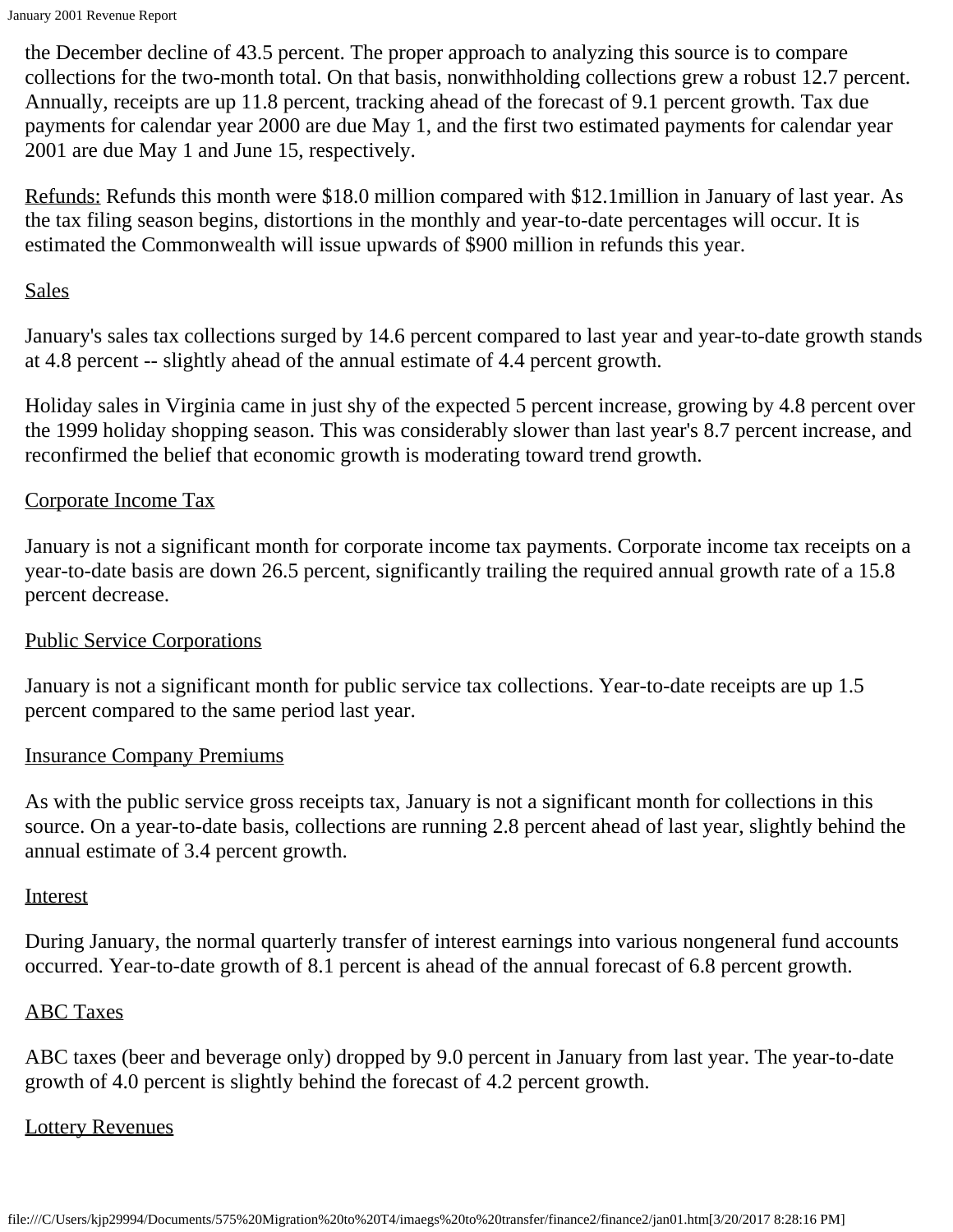the December decline of 43.5 percent. The proper approach to analyzing this source is to compare collections for the two-month total. On that basis, nonwithholding collections grew a robust 12.7 percent. Annually, receipts are up 11.8 percent, tracking ahead of the forecast of 9.1 percent growth. Tax due payments for calendar year 2000 are due May 1, and the first two estimated payments for calendar year 2001 are due May 1 and June 15, respectively.

Refunds: Refunds this month were \$18.0 million compared with \$12.1million in January of last year. As the tax filing season begins, distortions in the monthly and year-to-date percentages will occur. It is estimated the Commonwealth will issue upwards of \$900 million in refunds this year.

## Sales

January's sales tax collections surged by 14.6 percent compared to last year and year-to-date growth stands at 4.8 percent -- slightly ahead of the annual estimate of 4.4 percent growth.

Holiday sales in Virginia came in just shy of the expected 5 percent increase, growing by 4.8 percent over the 1999 holiday shopping season. This was considerably slower than last year's 8.7 percent increase, and reconfirmed the belief that economic growth is moderating toward trend growth.

## Corporate Income Tax

January is not a significant month for corporate income tax payments. Corporate income tax receipts on a year-to-date basis are down 26.5 percent, significantly trailing the required annual growth rate of a 15.8 percent decrease.

#### Public Service Corporations

January is not a significant month for public service tax collections. Year-to-date receipts are up 1.5 percent compared to the same period last year.

#### Insurance Company Premiums

As with the public service gross receipts tax, January is not a significant month for collections in this source. On a year-to-date basis, collections are running 2.8 percent ahead of last year, slightly behind the annual estimate of 3.4 percent growth.

#### **Interest**

During January, the normal quarterly transfer of interest earnings into various nongeneral fund accounts occurred. Year-to-date growth of 8.1 percent is ahead of the annual forecast of 6.8 percent growth.

#### ABC Taxes

ABC taxes (beer and beverage only) dropped by 9.0 percent in January from last year. The year-to-date growth of 4.0 percent is slightly behind the forecast of 4.2 percent growth.

#### Lottery Revenues